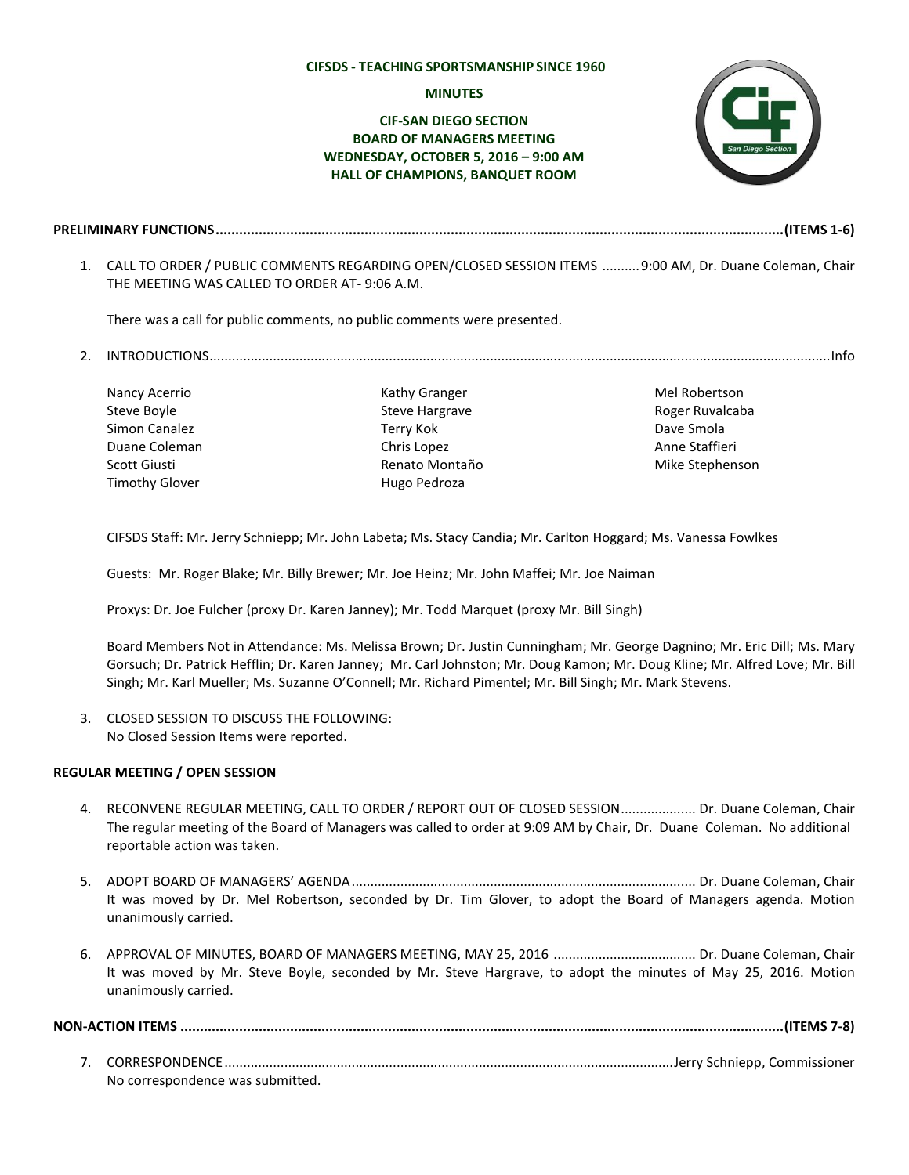#### **CIFSDS - TEACHING SPORTSMANSHIP SINCE 1960**

#### **MINUTES**

# **CIF-SAN DIEGO SECTION BOARD OF MANAGERS MEETING WEDNESDAY, OCTOBER 5, 2016 – 9:00 AM HALL OF CHAMPIONS, BANQUET ROOM**



- **PRELIMINARY FUNCTIONS.................................................................................................................................................(ITEMS 1-6)**
	- 1. CALL TO ORDER / PUBLIC COMMENTS REGARDING OPEN/CLOSED SESSION ITEMS ..........9:00 AM, Dr. Duane Coleman, Chair THE MEETING WAS CALLED TO ORDER AT- 9:06 A.M.

There was a call for public comments, no public comments were presented.

- 2. INTRODUCTIONS......................................................................................................................................................................Info
	- Nancy Acerrio Steve Boyle Simon Canalez Duane Coleman Scott Giusti Timothy Glover

Kathy Granger Steve Hargrave Terry Kok Chris Lopez Renato Montaño Hugo Pedroza

Mel Robertson Roger Ruvalcaba Dave Smola Anne Staffieri Mike Stephenson

CIFSDS Staff: Mr. Jerry Schniepp; Mr. John Labeta; Ms. Stacy Candia; Mr. Carlton Hoggard; Ms. Vanessa Fowlkes

Guests: Mr. Roger Blake; Mr. Billy Brewer; Mr. Joe Heinz; Mr. John Maffei; Mr. Joe Naiman

Proxys: Dr. Joe Fulcher (proxy Dr. Karen Janney); Mr. Todd Marquet (proxy Mr. Bill Singh)

Board Members Not in Attendance: Ms. Melissa Brown; Dr. Justin Cunningham; Mr. George Dagnino; Mr. Eric Dill; Ms. Mary Gorsuch; Dr. Patrick Hefflin; Dr. Karen Janney; Mr. Carl Johnston; Mr. Doug Kamon; Mr. Doug Kline; Mr. Alfred Love; Mr. Bill Singh; Mr. Karl Mueller; Ms. Suzanne O'Connell; Mr. Richard Pimentel; Mr. Bill Singh; Mr. Mark Stevens.

3. CLOSED SESSION TO DISCUSS THE FOLLOWING: No Closed Session Items were reported.

### **REGULAR MEETING / OPEN SESSION**

- 4. RECONVENE REGULAR MEETING, CALL TO ORDER / REPORT OUT OF CLOSED SESSION.................... Dr. Duane Coleman, Chair The regular meeting of the Board of Managers was called to order at 9:09 AM by Chair, Dr. Duane Coleman. No additional reportable action was taken.
- 5. ADOPT BOARD OF MANAGERS' AGENDA............................................................................................ Dr. Duane Coleman, Chair It was moved by Dr. Mel Robertson, seconded by Dr. Tim Glover, to adopt the Board of Managers agenda. Motion unanimously carried.
- 6. APPROVAL OF MINUTES, BOARD OF MANAGERS MEETING, MAY 25, 2016 ...................................... Dr. Duane Coleman, Chair It was moved by Mr. Steve Boyle, seconded by Mr. Steve Hargrave, to adopt the minutes of May 25, 2016. Motion unanimously carried.

**NON-ACTION ITEMS ..........................................................................................................................................................(ITEMS 7-8)**

7. CORRESPONDENCE........................................................................................................................Jerry Schniepp, Commissioner No correspondence was submitted.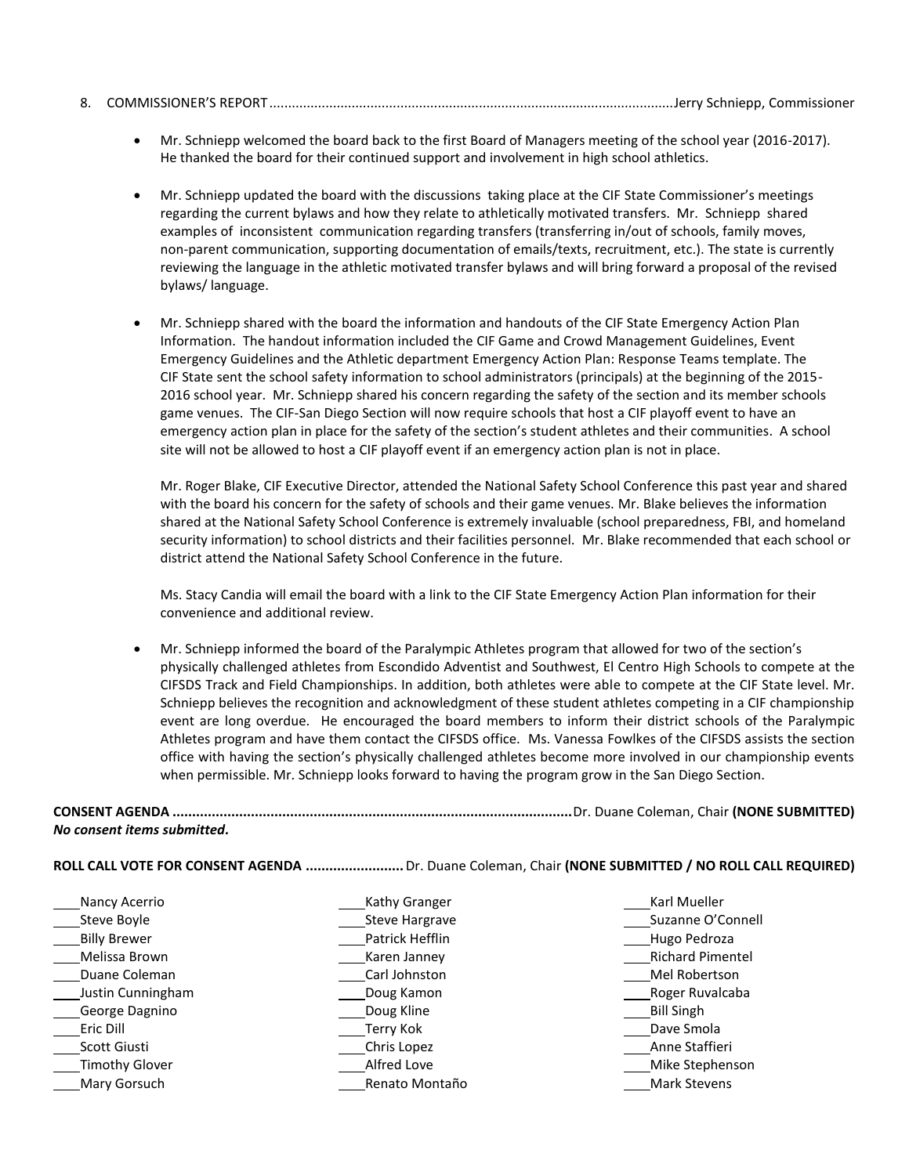|--|--|--|--|--|

- Mr. Schniepp welcomed the board back to the first Board of Managers meeting of the school year (2016-2017). He thanked the board for their continued support and involvement in high school athletics.
- Mr. Schniepp updated the board with the discussions taking place at the CIF State Commissioner's meetings regarding the current bylaws and how they relate to athletically motivated transfers. Mr. Schniepp shared examples of inconsistent communication regarding transfers (transferring in/out of schools, family moves, non-parent communication, supporting documentation of emails/texts, recruitment, etc.). The state is currently reviewing the language in the athletic motivated transfer bylaws and will bring forward a proposal of the revised bylaws/ language.
- Mr. Schniepp shared with the board the information and handouts of the CIF State Emergency Action Plan Information. The handout information included the CIF Game and Crowd Management Guidelines, Event Emergency Guidelines and the Athletic department Emergency Action Plan: Response Teams template. The CIF State sent the school safety information to school administrators (principals) at the beginning of the 2015- 2016 school year. Mr. Schniepp shared his concern regarding the safety of the section and its member schools game venues. The CIF-San Diego Section will now require schools that host a CIF playoff event to have an emergency action plan in place for the safety of the section's student athletes and their communities. A school site will not be allowed to host a CIF playoff event if an emergency action plan is not in place.

Mr. Roger Blake, CIF Executive Director, attended the National Safety School Conference this past year and shared with the board his concern for the safety of schools and their game venues. Mr. Blake believes the information shared at the National Safety School Conference is extremely invaluable (school preparedness, FBI, and homeland security information) to school districts and their facilities personnel. Mr. Blake recommended that each school or district attend the National Safety School Conference in the future.

Ms. Stacy Candia will email the board with a link to the CIF State Emergency Action Plan information for their convenience and additional review.

 Mr. Schniepp informed the board of the Paralympic Athletes program that allowed for two of the section's physically challenged athletes from Escondido Adventist and Southwest, El Centro High Schools to compete at the CIFSDS Track and Field Championships. In addition, both athletes were able to compete at the CIF State level. Mr. Schniepp believes the recognition and acknowledgment of these student athletes competing in a CIF championship event are long overdue. He encouraged the board members to inform their district schools of the Paralympic Athletes program and have them contact the CIFSDS office. Ms. Vanessa Fowlkes of the CIFSDS assists the section office with having the section's physically challenged athletes become more involved in our championship events when permissible. Mr. Schniepp looks forward to having the program grow in the San Diego Section.

**CONSENT AGENDA ......................................................................................................**Dr. Duane Coleman, Chair **(NONE SUBMITTED)** *No consent items submitted.*

**ROLL CALL VOTE FOR CONSENT AGENDA .........................**Dr. Duane Coleman, Chair **(NONE SUBMITTED / NO ROLL CALL REQUIRED)** 

Nancy Acerrio Steve Boyle **Billy Brewer** Melissa Brown Duane Coleman Justin Cunningham George Dagnino Eric Dill Scott Giusti Timothy Glover Mary Gorsuch

**Kathy Granger** Steve Hargrave Patrick Hefflin Karen Janney Carl Johnston Doug Kamon Doug Kline Terry Kok Chris Lopez Alfred Love Renato Montaño

Karl Mueller Suzanne O'Connell Hugo Pedroza Richard Pimentel Mel Robertson Roger Ruvalcaba Bill Singh Dave Smola Anne Staffieri Mike Stephenson Mark Stevens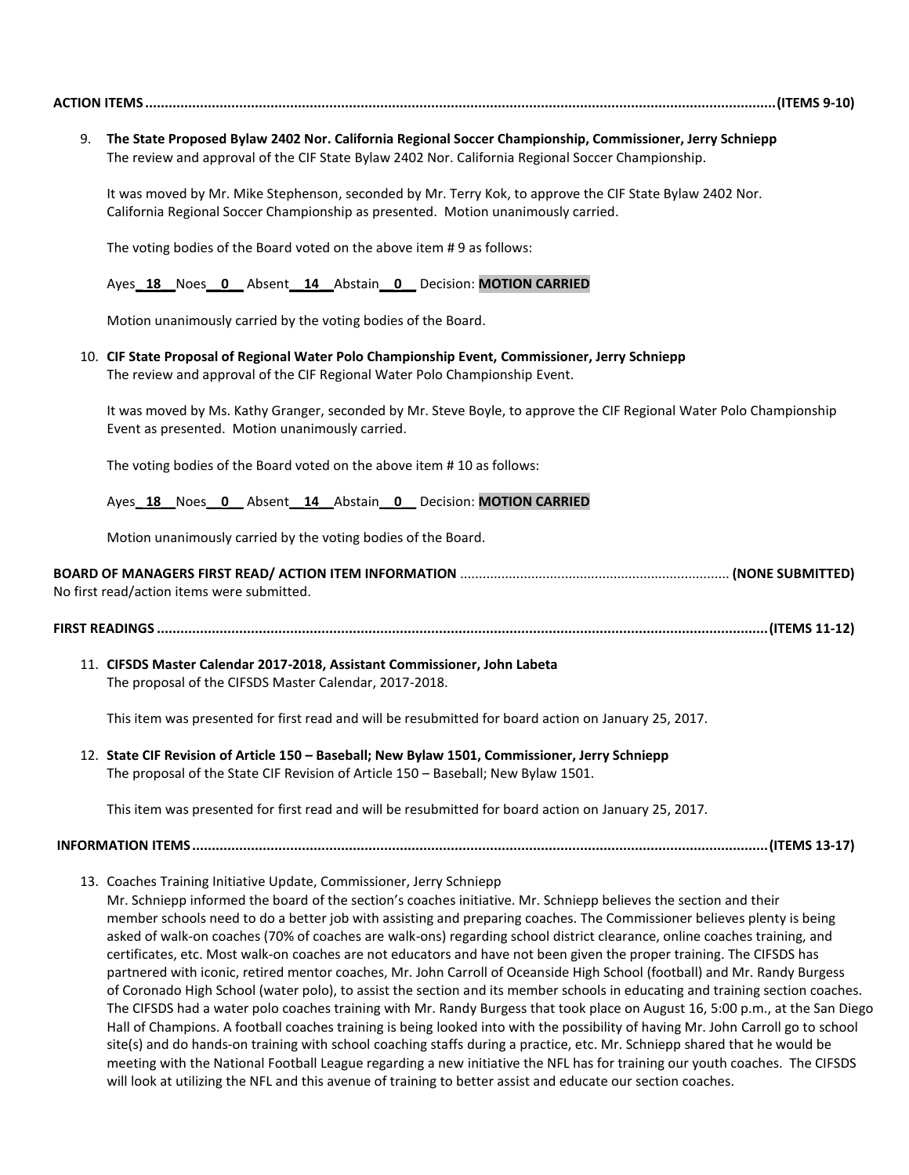|--|--|--|

9. **The State Proposed Bylaw 2402 Nor. California Regional Soccer Championship, Commissioner, Jerry Schniepp** The review and approval of the CIF State Bylaw 2402 Nor. California Regional Soccer Championship.

It was moved by Mr. Mike Stephenson, seconded by Mr. Terry Kok, to approve the CIF State Bylaw 2402 Nor. California Regional Soccer Championship as presented. Motion unanimously carried.

The voting bodies of the Board voted on the above item # 9 as follows:

Ayes**\_ 18\_\_**Noes**\_\_0\_\_** Absent**\_\_14\_\_**Abstain**\_\_0\_\_** Decision: **MOTION CARRIED**

Motion unanimously carried by the voting bodies of the Board.

10. **CIF State Proposal of Regional Water Polo Championship Event, Commissioner, Jerry Schniepp** The review and approval of the CIF Regional Water Polo Championship Event.

It was moved by Ms. Kathy Granger, seconded by Mr. Steve Boyle, to approve the CIF Regional Water Polo Championship Event as presented. Motion unanimously carried.

The voting bodies of the Board voted on the above item # 10 as follows:

Ayes**\_ 18\_\_**Noes**\_\_0\_\_** Absent**\_\_14\_\_**Abstain**\_\_0\_\_** Decision: **MOTION CARRIED**

Motion unanimously carried by the voting bodies of the Board.

| No first read/action items were submitted. |  |
|--------------------------------------------|--|

**FIRST READINGS ............................................................................................................................................................(ITEMS 11-12)**

11. **CIFSDS Master Calendar 2017-2018, Assistant Commissioner, John Labeta** The proposal of the CIFSDS Master Calendar, 2017-2018.

This item was presented for first read and will be resubmitted for board action on January 25, 2017.

12. **State CIF Revision of Article 150 – Baseball; New Bylaw 1501, Commissioner, Jerry Schniepp** The proposal of the State CIF Revision of Article 150 – Baseball; New Bylaw 1501.

This item was presented for first read and will be resubmitted for board action on January 25, 2017.

**INFORMATION ITEMS...................................................................................................................................................(ITEMS 13-17)**

13. Coaches Training Initiative Update, Commissioner, Jerry Schniepp

Mr. Schniepp informed the board of the section's coaches initiative. Mr. Schniepp believes the section and their member schools need to do a better job with assisting and preparing coaches. The Commissioner believes plenty is being asked of walk-on coaches (70% of coaches are walk-ons) regarding school district clearance, online coaches training, and certificates, etc. Most walk-on coaches are not educators and have not been given the proper training. The CIFSDS has partnered with iconic, retired mentor coaches, Mr. John Carroll of Oceanside High School (football) and Mr. Randy Burgess of Coronado High School (water polo), to assist the section and its member schools in educating and training section coaches. The CIFSDS had a water polo coaches training with Mr. Randy Burgess that took place on August 16, 5:00 p.m., at the San Diego Hall of Champions. A football coaches training is being looked into with the possibility of having Mr. John Carroll go to school site(s) and do hands-on training with school coaching staffs during a practice, etc. Mr. Schniepp shared that he would be meeting with the National Football League regarding a new initiative the NFL has for training our youth coaches. The CIFSDS will look at utilizing the NFL and this avenue of training to better assist and educate our section coaches.